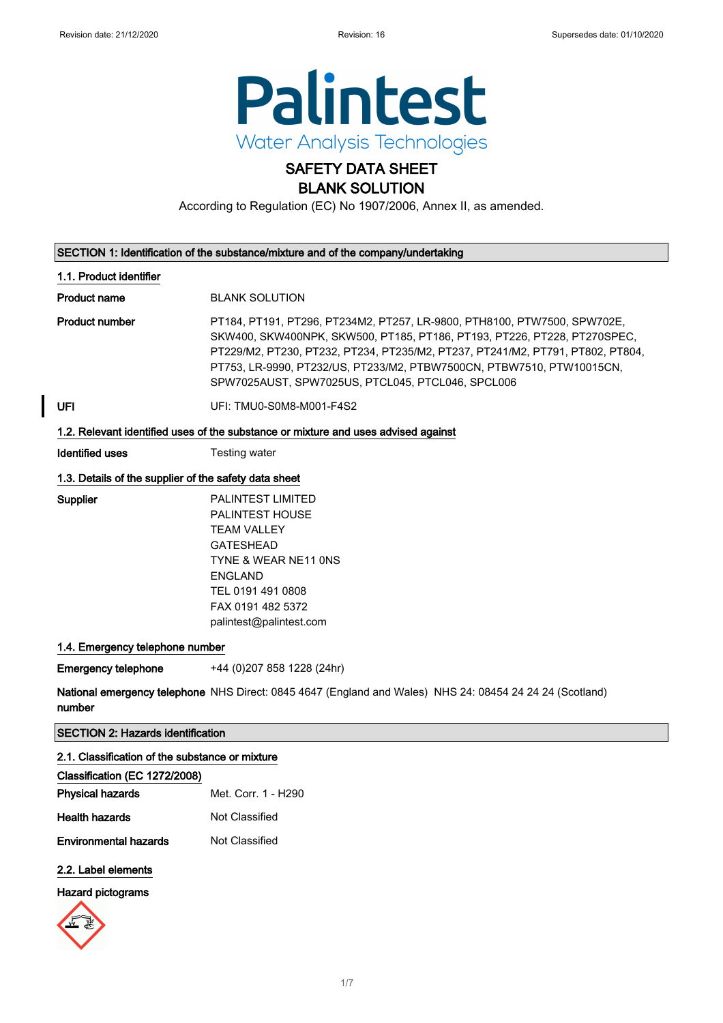

# SAFETY DATA SHEET BLANK SOLUTION

According to Regulation (EC) No 1907/2006, Annex II, as amended.

| SECTION 1: Identification of the substance/mixture and of the company/undertaking  |                                                                                                                                                                                                                                                                                                                                                                      |  |
|------------------------------------------------------------------------------------|----------------------------------------------------------------------------------------------------------------------------------------------------------------------------------------------------------------------------------------------------------------------------------------------------------------------------------------------------------------------|--|
| 1.1. Product identifier                                                            |                                                                                                                                                                                                                                                                                                                                                                      |  |
| <b>Product name</b>                                                                | <b>BLANK SOLUTION</b>                                                                                                                                                                                                                                                                                                                                                |  |
| <b>Product number</b>                                                              | PT184, PT191, PT296, PT234M2, PT257, LR-9800, PTH8100, PTW7500, SPW702E,<br>SKW400, SKW400NPK, SKW500, PT185, PT186, PT193, PT226, PT228, PT270SPEC,<br>PT229/M2, PT230, PT232, PT234, PT235/M2, PT237, PT241/M2, PT791, PT802, PT804,<br>PT753, LR-9990, PT232/US, PT233/M2, PTBW7500CN, PTBW7510, PTW10015CN,<br>SPW7025AUST, SPW7025US, PTCL045, PTCL046, SPCL006 |  |
| UFI                                                                                | UFI: TMU0-S0M8-M001-F4S2                                                                                                                                                                                                                                                                                                                                             |  |
| 1.2. Relevant identified uses of the substance or mixture and uses advised against |                                                                                                                                                                                                                                                                                                                                                                      |  |
| <b>Identified uses</b>                                                             | Testing water                                                                                                                                                                                                                                                                                                                                                        |  |
| 1.3. Details of the supplier of the safety data sheet                              |                                                                                                                                                                                                                                                                                                                                                                      |  |
| Supplier                                                                           | <b>PALINTEST LIMITED</b><br><b>PALINTEST HOUSE</b><br><b>TEAM VALLEY</b><br><b>GATESHEAD</b><br>TYNE & WEAR NE11 ONS<br><b>ENGLAND</b><br>TEL 0191 491 0808<br>FAX 0191 482 5372<br>palintest@palintest.com                                                                                                                                                          |  |
| 1.4. Emergency telephone number                                                    |                                                                                                                                                                                                                                                                                                                                                                      |  |

Emergency telephone +44 (0)207 858 1228 (24hr)

**National emergency telephone** NHS Direct: 0845 4647 (England and Wales) NHS 24: 08454 24 24 24 (Scotland) number

SECTION 2: Hazards identification

2.1. Classification of the substance or mixture

| Classification (EC 1272/2008) |                     |
|-------------------------------|---------------------|
| <b>Physical hazards</b>       | Met. Corr. 1 - H290 |
| <b>Health hazards</b>         | Not Classified      |
| <b>Environmental hazards</b>  | Not Classified      |

### 2.2. Label elements

### Hazard pictograms

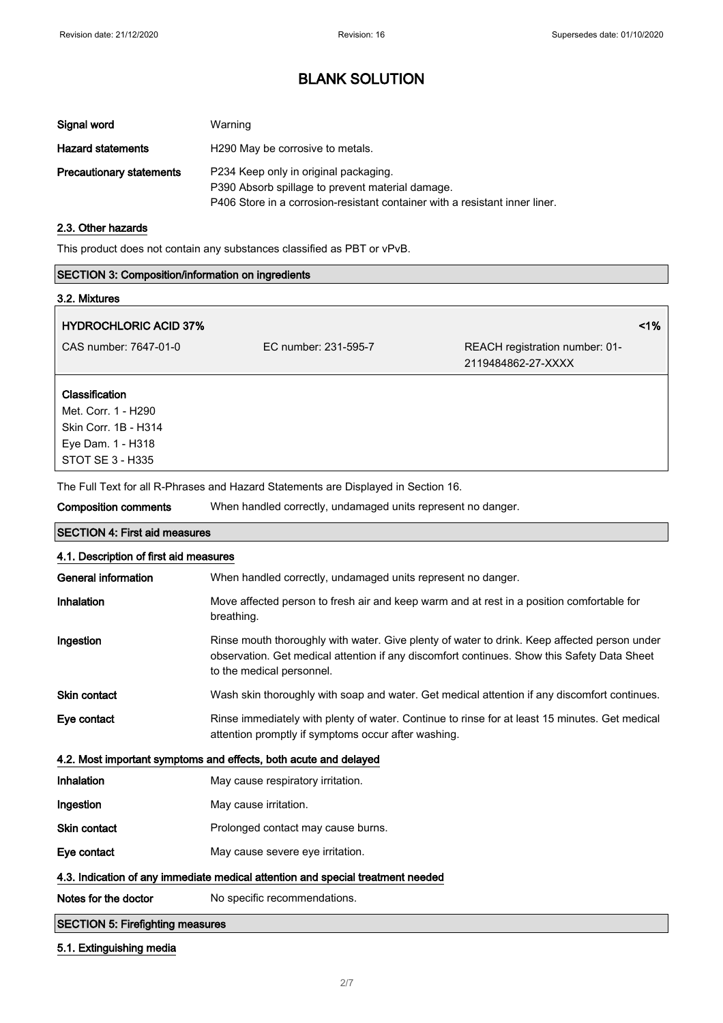| Signal word                     | Warning                                                                                                                                                                  |
|---------------------------------|--------------------------------------------------------------------------------------------------------------------------------------------------------------------------|
| <b>Hazard statements</b>        | H <sub>290</sub> May be corrosive to metals.                                                                                                                             |
| <b>Precautionary statements</b> | P234 Keep only in original packaging.<br>P390 Absorb spillage to prevent material damage.<br>P406 Store in a corrosion-resistant container with a resistant inner liner. |

### 2.3. Other hazards

This product does not contain any substances classified as PBT or vPvB.

## SECTION 3: Composition/information on ingredients

| 3.2. Mixtures                                                                      |                                                                                                                                                                                                                               |                                                      |       |
|------------------------------------------------------------------------------------|-------------------------------------------------------------------------------------------------------------------------------------------------------------------------------------------------------------------------------|------------------------------------------------------|-------|
| <b>HYDROCHLORIC ACID 37%</b>                                                       |                                                                                                                                                                                                                               |                                                      | $1\%$ |
| CAS number: 7647-01-0                                                              | EC number: 231-595-7                                                                                                                                                                                                          | REACH registration number: 01-<br>2119484862-27-XXXX |       |
| <b>Classification</b>                                                              |                                                                                                                                                                                                                               |                                                      |       |
| Met. Corr. 1 - H290                                                                |                                                                                                                                                                                                                               |                                                      |       |
| Skin Corr. 1B - H314                                                               |                                                                                                                                                                                                                               |                                                      |       |
| Eye Dam. 1 - H318                                                                  |                                                                                                                                                                                                                               |                                                      |       |
| STOT SE 3 - H335                                                                   |                                                                                                                                                                                                                               |                                                      |       |
| The Full Text for all R-Phrases and Hazard Statements are Displayed in Section 16. | . The contract of the contract of the contract of the contract of the contract of the contract of the contract of the contract of the contract of the contract of the contract of the contract of the contract of the contrac |                                                      |       |

Composition comments When handled correctly, undamaged units represent no danger.

| <b>SECTION 4: First aid measures</b>                                            |                                                                                                                                                                                                                          |  |
|---------------------------------------------------------------------------------|--------------------------------------------------------------------------------------------------------------------------------------------------------------------------------------------------------------------------|--|
| 4.1. Description of first aid measures                                          |                                                                                                                                                                                                                          |  |
| General information                                                             | When handled correctly, undamaged units represent no danger.                                                                                                                                                             |  |
| Inhalation                                                                      | Move affected person to fresh air and keep warm and at rest in a position comfortable for<br>breathing.                                                                                                                  |  |
| Ingestion                                                                       | Rinse mouth thoroughly with water. Give plenty of water to drink. Keep affected person under<br>observation. Get medical attention if any discomfort continues. Show this Safety Data Sheet<br>to the medical personnel. |  |
| <b>Skin contact</b>                                                             | Wash skin thoroughly with soap and water. Get medical attention if any discomfort continues.                                                                                                                             |  |
| Eye contact                                                                     | Rinse immediately with plenty of water. Continue to rinse for at least 15 minutes. Get medical<br>attention promptly if symptoms occur after washing.                                                                    |  |
| 4.2. Most important symptoms and effects, both acute and delayed                |                                                                                                                                                                                                                          |  |
| Inhalation                                                                      | May cause respiratory irritation.                                                                                                                                                                                        |  |
| Ingestion                                                                       | May cause irritation.                                                                                                                                                                                                    |  |
| <b>Skin contact</b>                                                             | Prolonged contact may cause burns.                                                                                                                                                                                       |  |
| Eye contact                                                                     | May cause severe eye irritation.                                                                                                                                                                                         |  |
| 4.3. Indication of any immediate medical attention and special treatment needed |                                                                                                                                                                                                                          |  |
| Notes for the doctor                                                            | No specific recommendations.                                                                                                                                                                                             |  |
| <b>SECTION 5: Firefighting measures</b>                                         |                                                                                                                                                                                                                          |  |

### 5.1. Extinguishing media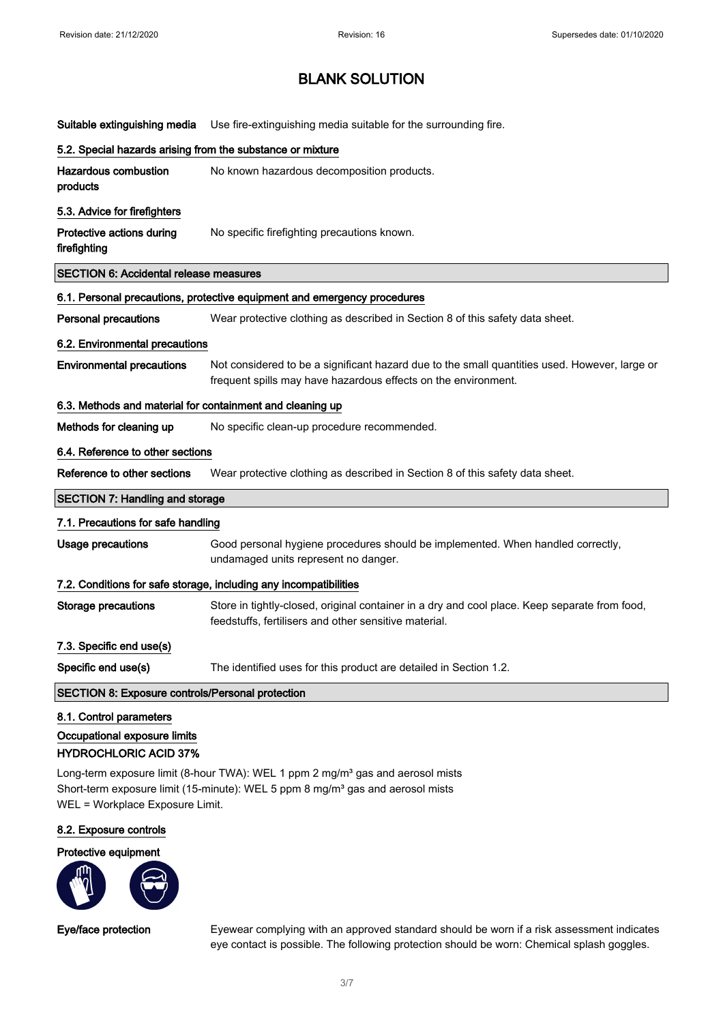| Suitable extinguishing media                                                            | Use fire-extinguishing media suitable for the surrounding fire.                                                                                                 |  |
|-----------------------------------------------------------------------------------------|-----------------------------------------------------------------------------------------------------------------------------------------------------------------|--|
| 5.2. Special hazards arising from the substance or mixture                              |                                                                                                                                                                 |  |
| <b>Hazardous combustion</b><br>products                                                 | No known hazardous decomposition products.                                                                                                                      |  |
| 5.3. Advice for firefighters                                                            |                                                                                                                                                                 |  |
| Protective actions during<br>firefighting                                               | No specific firefighting precautions known.                                                                                                                     |  |
| <b>SECTION 6: Accidental release measures</b>                                           |                                                                                                                                                                 |  |
|                                                                                         | 6.1. Personal precautions, protective equipment and emergency procedures                                                                                        |  |
| <b>Personal precautions</b>                                                             | Wear protective clothing as described in Section 8 of this safety data sheet.                                                                                   |  |
| 6.2. Environmental precautions                                                          |                                                                                                                                                                 |  |
| <b>Environmental precautions</b>                                                        | Not considered to be a significant hazard due to the small quantities used. However, large or<br>frequent spills may have hazardous effects on the environment. |  |
| 6.3. Methods and material for containment and cleaning up                               |                                                                                                                                                                 |  |
| Methods for cleaning up                                                                 | No specific clean-up procedure recommended.                                                                                                                     |  |
| 6.4. Reference to other sections                                                        |                                                                                                                                                                 |  |
| Reference to other sections                                                             | Wear protective clothing as described in Section 8 of this safety data sheet.                                                                                   |  |
| <b>SECTION 7: Handling and storage</b>                                                  |                                                                                                                                                                 |  |
| 7.1. Precautions for safe handling                                                      |                                                                                                                                                                 |  |
| Usage precautions                                                                       | Good personal hygiene procedures should be implemented. When handled correctly,<br>undamaged units represent no danger.                                         |  |
|                                                                                         | 7.2. Conditions for safe storage, including any incompatibilities                                                                                               |  |
| <b>Storage precautions</b>                                                              | Store in tightly-closed, original container in a dry and cool place. Keep separate from food,<br>feedstuffs, fertilisers and other sensitive material.          |  |
| 7.3. Specific end use(s)                                                                |                                                                                                                                                                 |  |
| Specific end use(s)                                                                     | The identified uses for this product are detailed in Section 1.2.                                                                                               |  |
| <b>SECTION 8: Exposure controls/Personal protection</b>                                 |                                                                                                                                                                 |  |
| 8.1. Control parameters<br>Occupational exposure limits<br><b>HYDROCHLORIC ACID 37%</b> |                                                                                                                                                                 |  |

Long-term exposure limit (8-hour TWA): WEL 1 ppm 2 mg/m<sup>3</sup> gas and aerosol mists Short-term exposure limit (15-minute): WEL 5 ppm 8 mg/m<sup>3</sup> gas and aerosol mists WEL = Workplace Exposure Limit.

### 8.2. Exposure controls

Protective equipment



Eye/face protection Eyewear complying with an approved standard should be worn if a risk assessment indicates eye contact is possible. The following protection should be worn: Chemical splash goggles.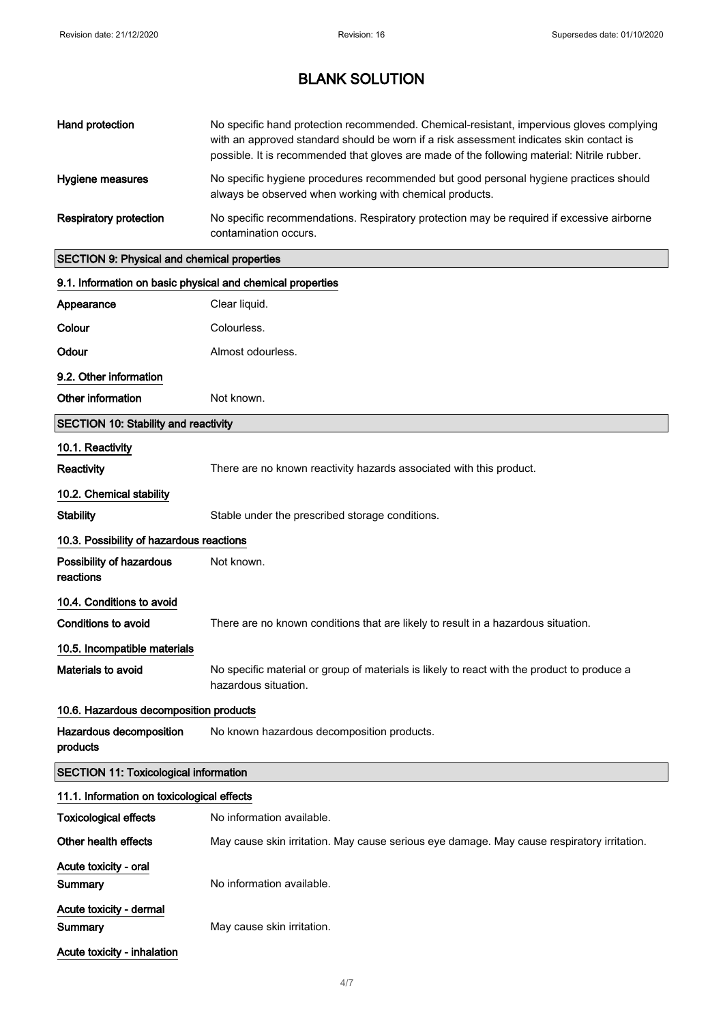| Hand protection                                            | No specific hand protection recommended. Chemical-resistant, impervious gloves complying<br>with an approved standard should be worn if a risk assessment indicates skin contact is<br>possible. It is recommended that gloves are made of the following material: Nitrile rubber. |
|------------------------------------------------------------|------------------------------------------------------------------------------------------------------------------------------------------------------------------------------------------------------------------------------------------------------------------------------------|
| Hygiene measures                                           | No specific hygiene procedures recommended but good personal hygiene practices should<br>always be observed when working with chemical products.                                                                                                                                   |
| <b>Respiratory protection</b>                              | No specific recommendations. Respiratory protection may be required if excessive airborne<br>contamination occurs.                                                                                                                                                                 |
| <b>SECTION 9: Physical and chemical properties</b>         |                                                                                                                                                                                                                                                                                    |
| 9.1. Information on basic physical and chemical properties |                                                                                                                                                                                                                                                                                    |
| Appearance                                                 | Clear liquid.                                                                                                                                                                                                                                                                      |
| Colour                                                     | Colourless.                                                                                                                                                                                                                                                                        |
| Odour                                                      | Almost odourless.                                                                                                                                                                                                                                                                  |
| 9.2. Other information                                     |                                                                                                                                                                                                                                                                                    |
| Other information                                          | Not known.                                                                                                                                                                                                                                                                         |
| <b>SECTION 10: Stability and reactivity</b>                |                                                                                                                                                                                                                                                                                    |
| 10.1. Reactivity                                           |                                                                                                                                                                                                                                                                                    |
| <b>Reactivity</b>                                          | There are no known reactivity hazards associated with this product.                                                                                                                                                                                                                |
| 10.2. Chemical stability                                   |                                                                                                                                                                                                                                                                                    |
| <b>Stability</b>                                           | Stable under the prescribed storage conditions.                                                                                                                                                                                                                                    |
| 10.3. Possibility of hazardous reactions                   |                                                                                                                                                                                                                                                                                    |
| Possibility of hazardous<br>reactions                      | Not known.                                                                                                                                                                                                                                                                         |
| 10.4. Conditions to avoid                                  |                                                                                                                                                                                                                                                                                    |
| <b>Conditions to avoid</b>                                 | There are no known conditions that are likely to result in a hazardous situation.                                                                                                                                                                                                  |
| 10.5. Incompatible materials                               |                                                                                                                                                                                                                                                                                    |
| <b>Materials to avoid</b>                                  | No specific material or group of materials is likely to react with the product to produce a<br>hazardous situation.                                                                                                                                                                |
| 10.6. Hazardous decomposition products                     |                                                                                                                                                                                                                                                                                    |
| Hazardous decomposition<br>products                        | No known hazardous decomposition products.                                                                                                                                                                                                                                         |
| <b>SECTION 11: Toxicological information</b>               |                                                                                                                                                                                                                                                                                    |
| 11.1. Information on toxicological effects                 |                                                                                                                                                                                                                                                                                    |
| <b>Toxicological effects</b>                               | No information available.                                                                                                                                                                                                                                                          |
| Other health effects                                       | May cause skin irritation. May cause serious eye damage. May cause respiratory irritation.                                                                                                                                                                                         |
| Acute toxicity - oral<br>Summary                           | No information available.                                                                                                                                                                                                                                                          |
| Acute toxicity - dermal                                    |                                                                                                                                                                                                                                                                                    |
| Summary                                                    | May cause skin irritation.                                                                                                                                                                                                                                                         |

Acute toxicity - inhalation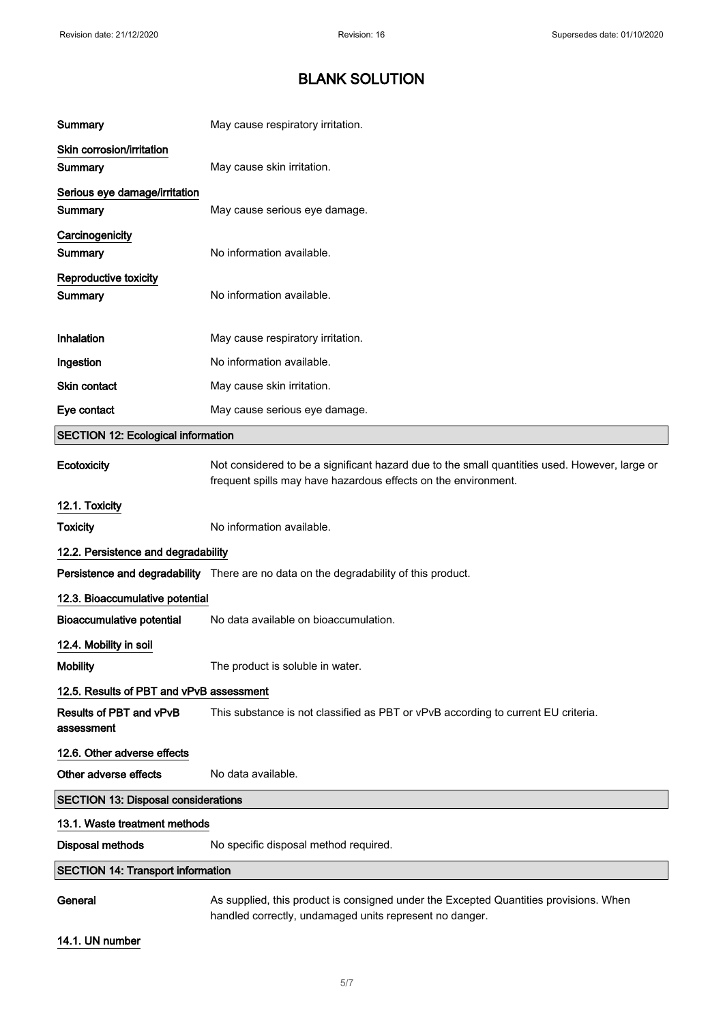| Summary                                      | May cause respiratory irritation.                                                                                                                               |
|----------------------------------------------|-----------------------------------------------------------------------------------------------------------------------------------------------------------------|
| Skin corrosion/irritation<br>Summary         | May cause skin irritation.                                                                                                                                      |
| Serious eye damage/irritation<br>Summary     | May cause serious eye damage.                                                                                                                                   |
| Carcinogenicity<br>Summary                   | No information available.                                                                                                                                       |
| Reproductive toxicity<br>Summary             | No information available.                                                                                                                                       |
| Inhalation                                   | May cause respiratory irritation.                                                                                                                               |
| Ingestion                                    | No information available.                                                                                                                                       |
| Skin contact                                 | May cause skin irritation.                                                                                                                                      |
| Eye contact                                  | May cause serious eye damage.                                                                                                                                   |
| <b>SECTION 12: Ecological information</b>    |                                                                                                                                                                 |
| Ecotoxicity                                  | Not considered to be a significant hazard due to the small quantities used. However, large or<br>frequent spills may have hazardous effects on the environment. |
| 12.1. Toxicity                               |                                                                                                                                                                 |
| <b>Toxicity</b>                              | No information available.                                                                                                                                       |
| 12.2. Persistence and degradability          |                                                                                                                                                                 |
|                                              | Persistence and degradability There are no data on the degradability of this product.                                                                           |
| 12.3. Bioaccumulative potential              |                                                                                                                                                                 |
| <b>Bioaccumulative potential</b>             | No data available on bioaccumulation.                                                                                                                           |
| 12.4. Mobility in soil                       |                                                                                                                                                                 |
| <b>Mobility</b>                              | The product is soluble in water.                                                                                                                                |
| 12.5. Results of PBT and vPvB assessment     |                                                                                                                                                                 |
| <b>Results of PBT and vPvB</b><br>assessment | This substance is not classified as PBT or vPvB according to current EU criteria.                                                                               |
| 12.6. Other adverse effects                  |                                                                                                                                                                 |
| Other adverse effects                        | No data available.                                                                                                                                              |
| <b>SECTION 13: Disposal considerations</b>   |                                                                                                                                                                 |
| 13.1. Waste treatment methods                |                                                                                                                                                                 |
| <b>Disposal methods</b>                      | No specific disposal method required.                                                                                                                           |
| <b>SECTION 14: Transport information</b>     |                                                                                                                                                                 |
| General                                      | As supplied, this product is consigned under the Excepted Quantities provisions. When<br>handled correctly, undamaged units represent no danger.                |

## 14.1. UN number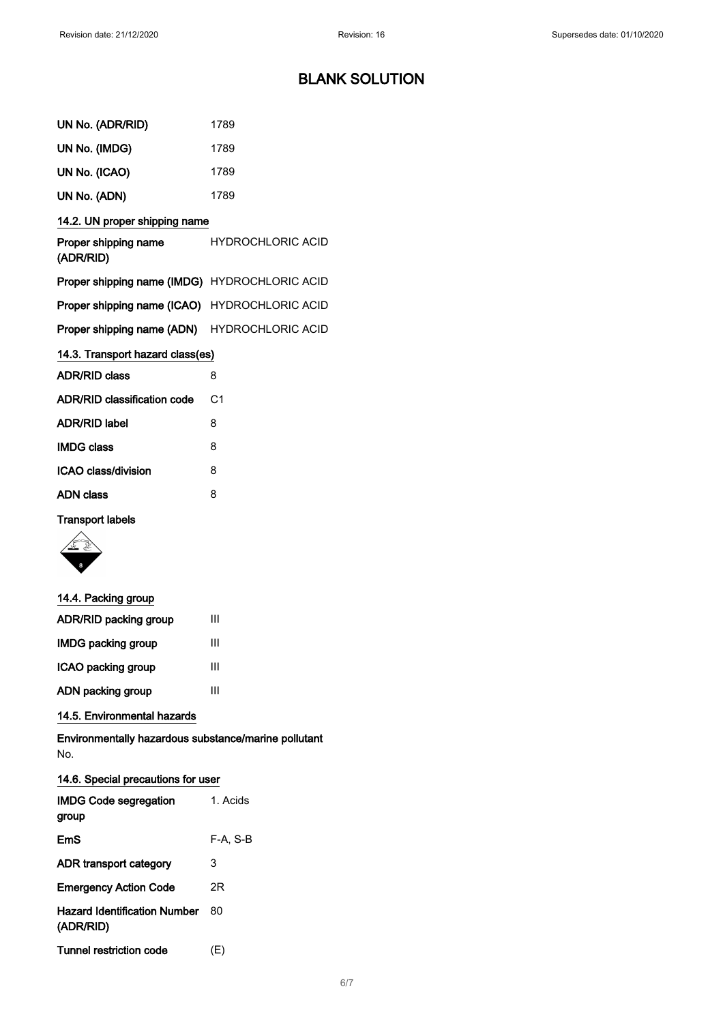| UN No. (ADR/RID)                              | 1789                     |
|-----------------------------------------------|--------------------------|
| UN No. (IMDG)                                 | 1789                     |
| UN No. (ICAO)                                 | 1789                     |
| UN No. (ADN)                                  | 1789                     |
| 14.2. UN proper shipping name                 |                          |
| Proper shipping name<br>(ADR/RID)             | <b>HYDROCHLORIC ACID</b> |
| Proper shipping name (IMDG) HYDROCHLORIC ACID |                          |
| Proper shipping name (ICAO) HYDROCHLORIC ACID |                          |
| Proper shipping name (ADN) HYDROCHLORIC ACID  |                          |
| 14.3. Transport hazard class(es)              |                          |
| <b>ADR/RID class</b>                          | 8                        |
| <b>ADR/RID classification code</b>            | C <sub>1</sub>           |
| <b>ADR/RID label</b>                          | 8                        |
| <b>IMDG class</b>                             | 8                        |
| <b>ICAO class/division</b>                    | 8                        |
| <b>ADN</b> class                              | 8                        |
|                                               |                          |

## Transport labels



| 14.4. Packing group       |   |
|---------------------------|---|
| ADR/RID packing group     | Ш |
| <b>IMDG packing group</b> | Ш |
| ICAO packing group        | Ш |
| ADN packing group         | Ш |

## 14.5. Environmental hazards

Environmentally hazardous substance/marine pollutant No.

### 14.6. Special precautions for user

| <b>IMDG Code segregation</b><br>group            | 1. Acids |
|--------------------------------------------------|----------|
| EmS                                              | F-A, S-B |
| ADR transport category                           | 3        |
| <b>Emergency Action Code</b>                     | 2R       |
| <b>Hazard Identification Number</b><br>(ADR/RID) | 80       |
| Tunnel restriction code                          | (E)      |